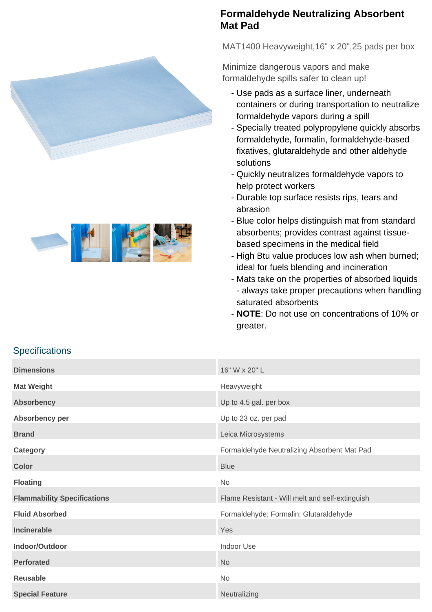



## **Formaldehyde Neutralizing Absorbent Mat Pad**

MAT1400 Heavyweight,16" x 20",25 pads per box

Minimize dangerous vapors and make formaldehyde spills safer to clean up!

- Use pads as a surface liner, underneath containers or during transportation to neutralize formaldehyde vapors during a spill
- Specially treated polypropylene quickly absorbs formaldehyde, formalin, formaldehyde-based fixatives, glutaraldehyde and other aldehyde solutions
- Quickly neutralizes formaldehyde vapors to help protect workers
- Durable top surface resists rips, tears and abrasion
- Blue color helps distinguish mat from standard absorbents; provides contrast against tissuebased specimens in the medical field
- High Btu value produces low ash when burned; ideal for fuels blending and incineration
- Mats take on the properties of absorbed liquids - always take proper precautions when handling saturated absorbents
- **NOTE**: Do not use on concentrations of 10% or greater.

| <b>Dimensions</b>                  | 16" W x 20" L                                   |
|------------------------------------|-------------------------------------------------|
| <b>Mat Weight</b>                  | Heavyweight                                     |
| <b>Absorbency</b>                  | Up to 4.5 gal. per box                          |
| Absorbency per                     | Up to 23 oz. per pad                            |
| <b>Brand</b>                       | Leica Microsystems                              |
| Category                           | Formaldehyde Neutralizing Absorbent Mat Pad     |
| <b>Color</b>                       | <b>Blue</b>                                     |
| <b>Floating</b>                    | <b>No</b>                                       |
| <b>Flammability Specifications</b> | Flame Resistant - Will melt and self-extinguish |
| <b>Fluid Absorbed</b>              | Formaldehyde; Formalin; Glutaraldehyde          |
| <b>Incinerable</b>                 | Yes                                             |
| Indoor/Outdoor                     | <b>Indoor Use</b>                               |
| <b>Perforated</b>                  | <b>No</b>                                       |
| <b>Reusable</b>                    | <b>No</b>                                       |
| <b>Special Feature</b>             | Neutralizing                                    |

## **Specifications**